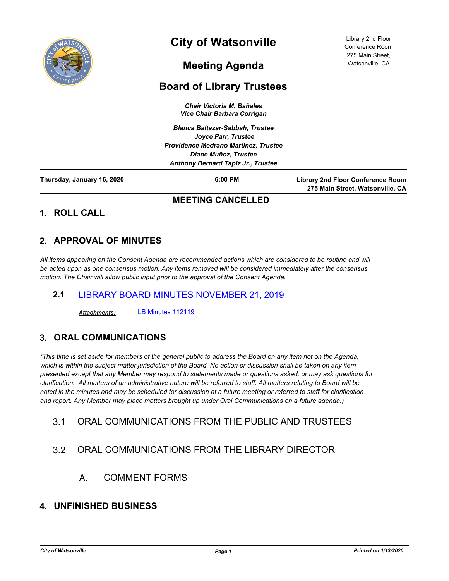

# **City of Watsonville**

Library 2nd Floor Conference Room 275 Main Street, Watsonville, CA

# **Meeting Agenda**

## **Board of Library Trustees**

*Chair Victoria M. Bañales Vice Chair Barbara Corrigan*

*Blanca Baltazar-Sabbah, Trustee Joyce Parr, Trustee Providence Medrano Martinez, Trustee Diane Muñoz, Trustee Anthony Bernard Tapiz Jr., Trustee*

**Thursday, January 16, 2020 6:00 PM**

**Library 2nd Floor Conference Room 275 Main Street, Watsonville, CA**

#### **MEETING CANCELLED**

**1. ROLL CALL**

## **2. APPROVAL OF MINUTES**

*All items appearing on the Consent Agenda are recommended actions which are considered to be routine and will be acted upon as one consensus motion. Any items removed will be considered immediately after the consensus motion. The Chair will allow public input prior to the approval of the Consent Agenda.*

#### **2.1** [LIBRARY BOARD MINUTES](http://watsonville.legistar.com/gateway.aspx?m=l&id=/matter.aspx?key=2811) NOVEMBER 21, 2019

*Attachments:* [LB Minutes 1](http://watsonville.legistar.com/gateway.aspx?M=F&ID=72b11492-0382-4f89-acc2-3f1c8414fd90.pdf)12119

### **3. ORAL COMMUNICATIONS**

*(This time is set aside for members of the general public to address the Board on any item not on the Agenda, which is within the subject matter jurisdiction of the Board. No action or discussion shall be taken on any item presented except that any Member may respond to statements made or questions asked, or may ask questions for clarification. All matters of an administrative nature will be referred to staff. All matters relating to Board will be noted in the minutes and may be scheduled for discussion at a future meeting or referred to staff for clarification and report. Any Member may place matters brought up under Oral Communications on a future agenda.)*

### 3.1 ORAL COMMUNICATIONS FROM THE PUBLIC AND TRUSTEES

## 3.2 ORAL COMMUNICATIONS FROM THE LIBRARY DIRECTOR

A. COMMENT FORMS

### **4. UNFINISHED BUSINESS**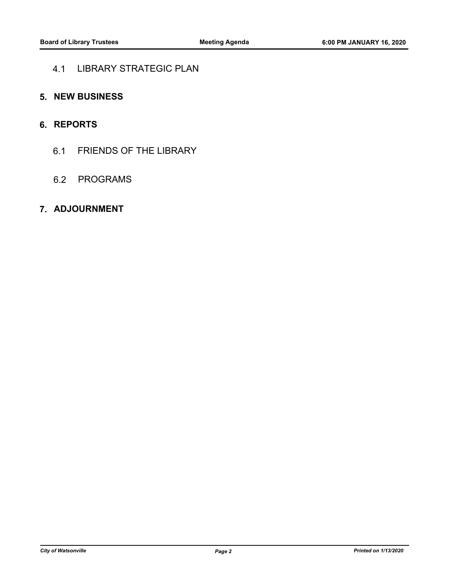#### 4.1 LIBRARY STRATEGIC PLAN

#### **5. NEW BUSINESS**

### **6. REPORTS**

6.1 FRIENDS OF THE LIBRARY

#### 6.2 PROGRAMS

#### **7. ADJOURNMENT**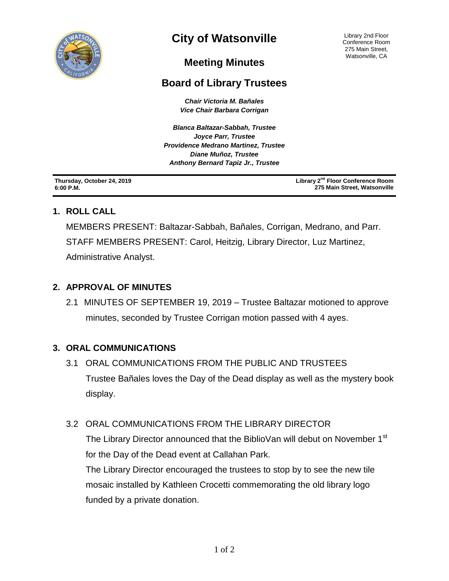

# **City of Watsonville**

Library 2nd Floor Conference Room 275 Main Street, Watsonville, CA

## **Meeting Minutes**

## **Board of Library Trustees**

*Chair Victoria M. Bañales Vice Chair Barbara Corrigan*

*Blanca Baltazar-Sabbah, Trustee Joyce Parr, Trustee Providence Medrano Martinez, Trustee Diane Muñoz, Trustee Anthony Bernard Tapiz Jr., Trustee*

**Thursday, October 24, 2019 6:00 P.M.**

**Library 2nd Floor Conference Room 275 Main Street, Watsonville**

### **1. ROLL CALL**

MEMBERS PRESENT: Baltazar-Sabbah, Bañales, Corrigan, Medrano, and Parr. STAFF MEMBERS PRESENT: Carol, Heitzig, Library Director, Luz Martinez, Administrative Analyst.

### **2. APPROVAL OF MINUTES**

2.1 MINUTES OF SEPTEMBER 19, 2019 – Trustee Baltazar motioned to approve minutes, seconded by Trustee Corrigan motion passed with 4 ayes.

### **3. ORAL COMMUNICATIONS**

3.1ORAL COMMUNICATIONS FROM THE PUBLIC AND TRUSTEES Trustee Bañales loves the Day of the Dead display as well as the mystery book display.

### 3.2ORAL COMMUNICATIONS FROM THE LIBRARY DIRECTOR

The Library Director announced that the BiblioVan will debut on November 1<sup>st</sup> for the Day of the Dead event at Callahan Park.

The Library Director encouraged the trustees to stop by to see the new tile mosaic installed by Kathleen Crocetti commemorating the old library logo funded by a private donation.